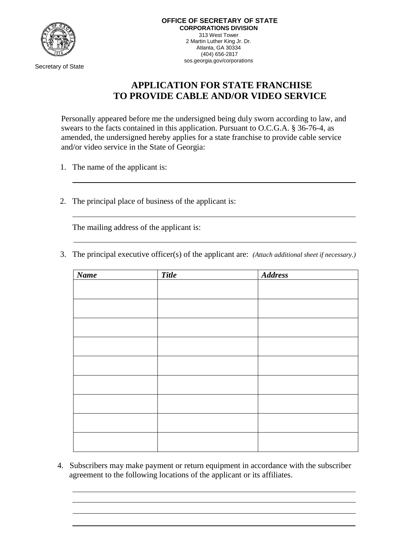

Secretary of State

## **APPLICATION FOR STATE FRANCHISE TO PROVIDE CABLE AND/OR VIDEO SERVICE**

Personally appeared before me the undersigned being duly sworn according to law, and swears to the facts contained in this application. Pursuant to O.C.G.A. § 36-76-4, as amended, the undersigned hereby applies for a state franchise to provide cable service and/or video service in the State of Georgia:

- 1. The name of the applicant is:
- 2. The principal place of business of the applicant is:

The mailing address of the applicant is:

3. The principal executive officer(s) of the applicant are: *(Attach additional sheet if necessary.)*

| <b>Name</b> | <b>Title</b> | <b>Address</b> |
|-------------|--------------|----------------|
|             |              |                |
|             |              |                |
|             |              |                |
|             |              |                |
|             |              |                |
|             |              |                |
|             |              |                |
|             |              |                |
|             |              |                |
|             |              |                |
|             |              |                |
|             |              |                |
|             |              |                |
|             |              |                |
|             |              |                |

4. Subscribers may make payment or return equipment in accordance with the subscriber agreement to the following locations of the applicant or its affiliates.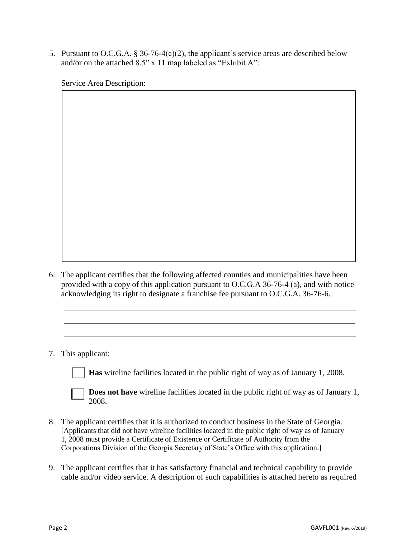5. Pursuant to O.C.G.A. § 36-76-4(c)(2), the applicant's service areas are described below and/or on the attached 8.5" x 11 map labeled as "Exhibit A":

Service Area Description:

- 6. The applicant certifies that the following affected counties and municipalities have been provided with a copy of this application pursuant to O.C.G.A 36-76-4 (a), and with notice acknowledging its right to designate a franchise fee pursuant to O.C.G.A. 36-76-6.
- 7. This applicant:

**Has** wireline facilities located in the public right of way as of January 1, 2008.

**Does not have** wireline facilities located in the public right of way as of January 1, 2008.

- 8. The applicant certifies that it is authorized to conduct business in the State of Georgia. [Applicants that did not have wireline facilities located in the public right of way as of January 1, 2008 must provide a Certificate of Existence or Certificate of Authority from the Corporations Division of the Georgia Secretary of State's Office with this application.]
- 9. The applicant certifies that it has satisfactory financial and technical capability to provide cable and/or video service. A description of such capabilities is attached hereto as required